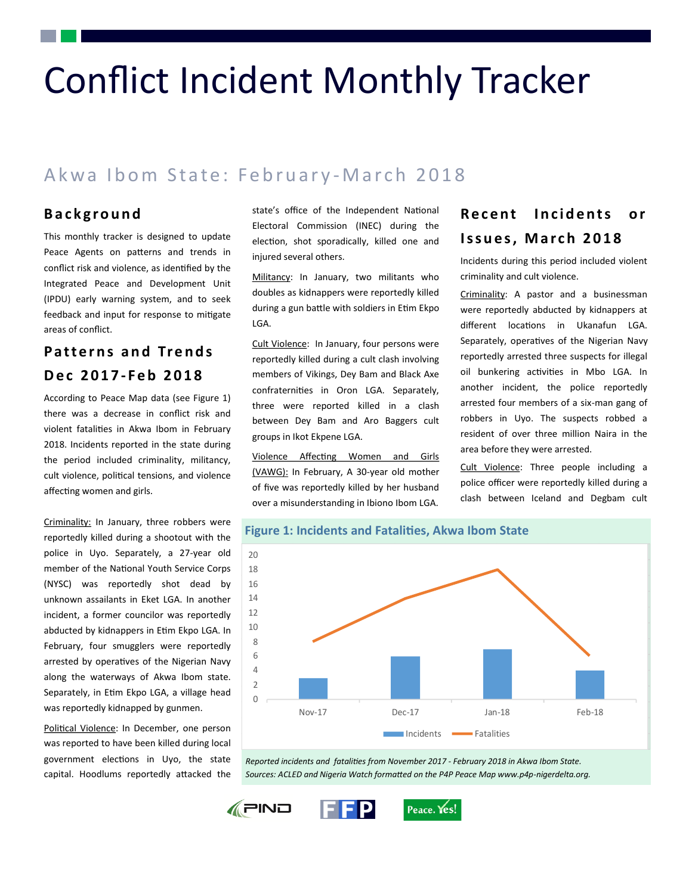# Conflict Incident Monthly Tracker

## Akwa Ibom State: February-March 2018

#### **B a c k g r o u n d**

This monthly tracker is designed to update Peace Agents on patterns and trends in conflict risk and violence, as identified by the Integrated Peace and Development Unit (IPDU) early warning system, and to seek feedback and input for response to mitigate areas of conflict.

### **P a t t e r n s a n d Tr e n d s D e c 2 0 1 7 - F e b 2 0 1 8**

According to Peace Map data (see Figure 1) there was a decrease in conflict risk and violent fatalities in Akwa Ibom in February 2018. Incidents reported in the state during the period included criminality, militancy, cult violence, political tensions, and violence affecting women and girls.

Criminality: In January, three robbers were reportedly killed during a shootout with the police in Uyo. Separately, a 27-year old member of the National Youth Service Corps (NYSC) was reportedly shot dead by unknown assailants in Eket LGA. In another incident, a former councilor was reportedly abducted by kidnappers in Etim Ekpo LGA. In February, four smugglers were reportedly arrested by operatives of the Nigerian Navy along the waterways of Akwa Ibom state. Separately, in Etim Ekpo LGA, a village head was reportedly kidnapped by gunmen.

Political Violence: In December, one person was reported to have been killed during local government elections in Uyo, the state capital. Hoodlums reportedly attacked the state's office of the Independent National Electoral Commission (INEC) during the election, shot sporadically, killed one and injured several others.

Militancy: In January, two militants who doubles as kidnappers were reportedly killed during a gun battle with soldiers in Etim Ekpo LGA.

Cult Violence: In January, four persons were reportedly killed during a cult clash involving members of Vikings, Dey Bam and Black Axe confraternities in Oron LGA. Separately, three were reported killed in a clash between Dey Bam and Aro Baggers cult groups in Ikot Ekpene LGA.

Violence Affecting Women and Girls (VAWG): In February, A 30-year old mother of five was reportedly killed by her husband over a misunderstanding in Ibiono Ibom LGA.

## **Recent Incidents or Issues, March 2018**

Incidents during this period included violent criminality and cult violence.

Criminality: A pastor and a businessman were reportedly abducted by kidnappers at different locations in Ukanafun LGA. Separately, operatives of the Nigerian Navy reportedly arrested three suspects for illegal oil bunkering activities in Mbo LGA. In another incident, the police reportedly arrested four members of a six-man gang of robbers in Uyo. The suspects robbed a resident of over three million Naira in the area before they were arrested.

Cult Violence: Three people including a police officer were reportedly killed during a clash between Iceland and Degbam cult



*Reported incidents and fatalities from November 2017 - February 2018 in Akwa Ibom State. Sources: ACLED and Nigeria Watch formatted on the P4P Peace Map www.p4p-nigerdelta.org.*